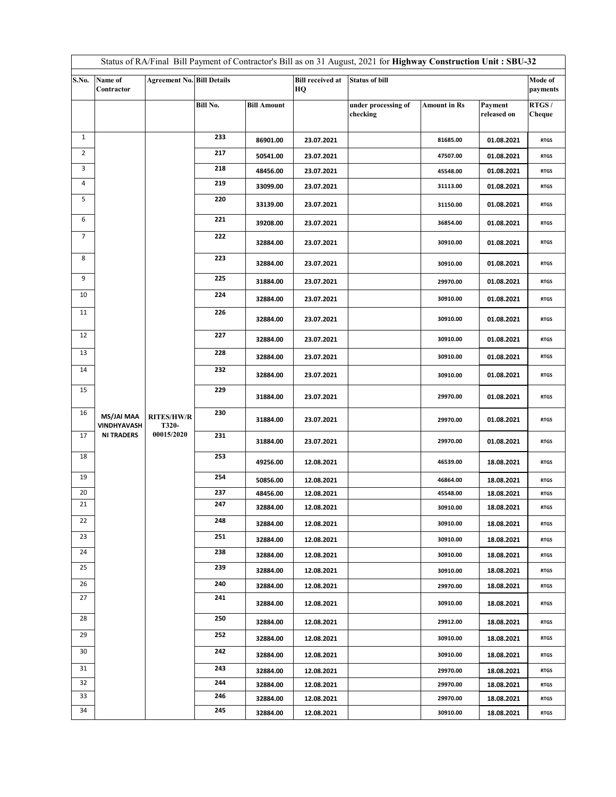| Status of RA/Final Bill Payment of Contractor's Bill as on 31 August, 2021 for Highway Construction Unit: SBU-32 |                           |                                   |          |                    |                               |                                 |                     |                        |                     |  |
|------------------------------------------------------------------------------------------------------------------|---------------------------|-----------------------------------|----------|--------------------|-------------------------------|---------------------------------|---------------------|------------------------|---------------------|--|
| S.No.                                                                                                            | Name of<br>Contractor     | <b>Agreement No. Bill Details</b> |          |                    | <b>Bill received at</b><br>HQ | <b>Status of bill</b>           |                     |                        | Mode of<br>payments |  |
|                                                                                                                  |                           |                                   | Bill No. | <b>Bill Amount</b> |                               | under processing of<br>checking | <b>Amount in Rs</b> | Payment<br>released on | RTGS/<br>Cheque     |  |
|                                                                                                                  |                           |                                   |          |                    |                               |                                 |                     |                        |                     |  |
| $\mathbf{1}$                                                                                                     |                           |                                   | 233      | 86901.00           | 23.07.2021                    |                                 | 81685.00            | 01.08.2021             | <b>RTGS</b>         |  |
| $\overline{2}$                                                                                                   |                           |                                   | 217      | 50541.00           | 23.07.2021                    |                                 | 47507.00            | 01.08.2021             | <b>RTGS</b>         |  |
| 3                                                                                                                |                           |                                   | 218      | 48456.00           | 23.07.2021                    |                                 | 45548.00            | 01.08.2021             | <b>RTGS</b>         |  |
| 4                                                                                                                |                           |                                   | 219      | 33099.00           | 23.07.2021                    |                                 | 31113.00            | 01.08.2021             | <b>RTGS</b>         |  |
| 5                                                                                                                |                           |                                   | 220      | 33139.00           | 23.07.2021                    |                                 | 31150.00            | 01.08.2021             | <b>RTGS</b>         |  |
| 6                                                                                                                |                           |                                   | 221      | 39208.00           | 23.07.2021                    |                                 | 36854.00            | 01.08.2021             | <b>RTGS</b>         |  |
| 7                                                                                                                |                           |                                   | 222      | 32884.00           | 23.07.2021                    |                                 | 30910.00            | 01.08.2021             | <b>RTGS</b>         |  |
| 8                                                                                                                |                           |                                   | 223      | 32884.00           | 23.07.2021                    |                                 | 30910.00            | 01.08.2021             | <b>RTGS</b>         |  |
| 9                                                                                                                |                           |                                   | 225      | 31884.00           | 23.07.2021                    |                                 | 29970.00            | 01.08.2021             | <b>RTGS</b>         |  |
| 10                                                                                                               |                           |                                   | 224      | 32884.00           | 23.07.2021                    |                                 | 30910.00            | 01.08.2021             | <b>RTGS</b>         |  |
| 11                                                                                                               |                           |                                   | 226      | 32884.00           | 23.07.2021                    |                                 | 30910.00            | 01.08.2021             | <b>RTGS</b>         |  |
| 12                                                                                                               |                           |                                   | 227      | 32884.00           | 23.07.2021                    |                                 | 30910.00            | 01.08.2021             | <b>RTGS</b>         |  |
| 13                                                                                                               |                           |                                   | 228      | 32884.00           | 23.07.2021                    |                                 | 30910.00            | 01.08.2021             | <b>RTGS</b>         |  |
| 14                                                                                                               |                           |                                   | 232      | 32884.00           | 23.07.2021                    |                                 | 30910.00            | 01.08.2021             | <b>RTGS</b>         |  |
| 15                                                                                                               |                           |                                   | 229      | 31884.00           | 23.07.2021                    |                                 | 29970.00            | 01.08.2021             | <b>RTGS</b>         |  |
| 16                                                                                                               | MS/JAI MAA<br>VINDHYAVASH | <b>RITES/HW/R</b><br>T320-        | 230      | 31884.00           | 23.07.2021                    |                                 | 29970.00            | 01.08.2021             | <b>RTGS</b>         |  |
| 17                                                                                                               | <b>NI TRADERS</b>         | 00015/2020                        | 231      | 31884.00           | 23.07.2021                    |                                 | 29970.00            | 01.08.2021             | <b>RTGS</b>         |  |
| 18                                                                                                               |                           |                                   | 253      | 49256.00           | 12.08.2021                    |                                 | 46539.00            | 18.08.2021             | <b>RTGS</b>         |  |
| 19                                                                                                               |                           |                                   | 254      | 50856.00           | 12.08.2021                    |                                 | 46864.00            | 18.08.2021             | <b>RTGS</b>         |  |
| 20                                                                                                               |                           |                                   | 237      | 48456.00           | 12.08.2021                    |                                 | 45548.00            | 18.08.2021             | <b>RTGS</b>         |  |
| 21                                                                                                               |                           |                                   | 247      | 32884.00           | 12.08.2021                    |                                 | 30910.00            | 18.08.2021             | <b>RTGS</b>         |  |
| 22                                                                                                               |                           |                                   | 248      | 32884.00           | 12.08.2021                    |                                 | 30910.00            | 18.08.2021             | <b>RTGS</b>         |  |
| 23                                                                                                               |                           |                                   | 251      | 32884.00           | 12.08.2021                    |                                 | 30910.00            | 18.08.2021             | <b>RTGS</b>         |  |
| 24                                                                                                               |                           |                                   | 238      | 32884.00           | 12.08.2021                    |                                 | 30910.00            | 18.08.2021             | <b>RTGS</b>         |  |
| 25                                                                                                               |                           |                                   | 239      | 32884.00           | 12.08.2021                    |                                 | 30910.00            | 18.08.2021             | <b>RTGS</b>         |  |
| 26                                                                                                               |                           |                                   | 240      | 32884.00           | 12.08.2021                    |                                 | 29970.00            | 18.08.2021             | <b>RTGS</b>         |  |
| 27                                                                                                               |                           |                                   | 241      | 32884.00           | 12.08.2021                    |                                 | 30910.00            | 18.08.2021             | <b>RTGS</b>         |  |
| 28                                                                                                               |                           |                                   | 250      | 32884.00           | 12.08.2021                    |                                 | 29912.00            | 18.08.2021             | <b>RTGS</b>         |  |
| 29                                                                                                               |                           |                                   | 252      | 32884.00           | 12.08.2021                    |                                 | 30910.00            | 18.08.2021             | <b>RTGS</b>         |  |
| 30                                                                                                               |                           |                                   | 242      | 32884.00           | 12.08.2021                    |                                 | 30910.00            | 18.08.2021             | <b>RTGS</b>         |  |
| 31                                                                                                               |                           |                                   | 243      | 32884.00           | 12.08.2021                    |                                 | 29970.00            | 18.08.2021             | <b>RTGS</b>         |  |
| 32                                                                                                               |                           |                                   | 244      | 32884.00           | 12.08.2021                    |                                 | 29970.00            | 18.08.2021             | <b>RTGS</b>         |  |
| 33                                                                                                               |                           |                                   | 246      | 32884.00           | 12.08.2021                    |                                 | 29970.00            | 18.08.2021             | <b>RTGS</b>         |  |
| 34                                                                                                               |                           |                                   | 245      | 32884.00           | 12.08.2021                    |                                 | 30910.00            | 18.08.2021             | <b>RTGS</b>         |  |